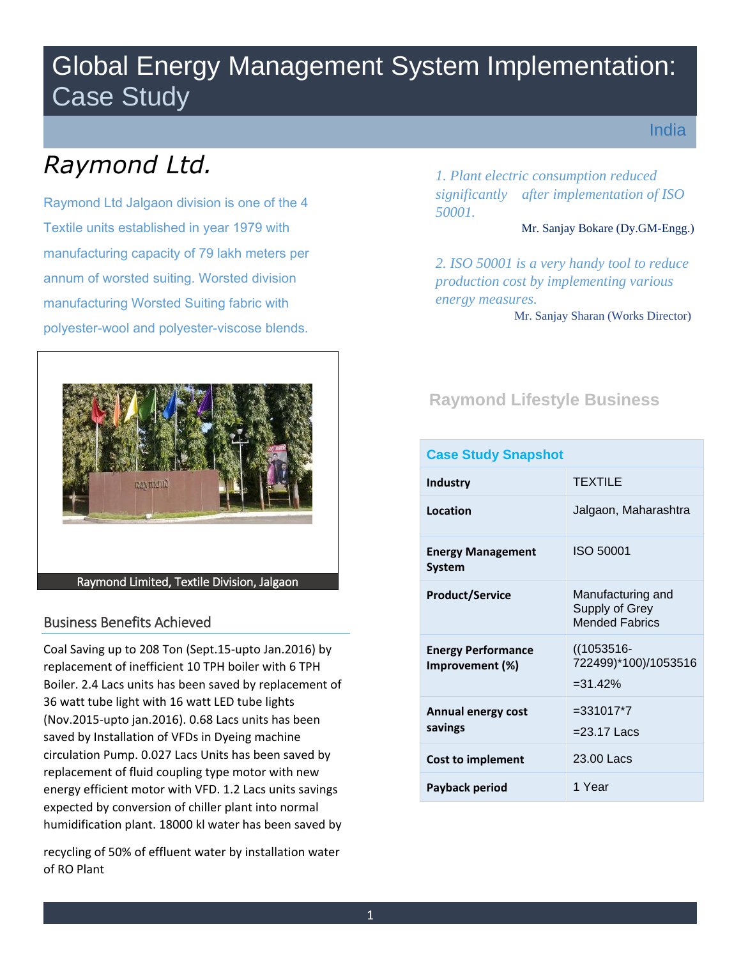## Global Energy Management System Implementation: Case Study

India

# *Raymond Ltd.*

Raymond Ltd Jalgaon division is one of the 4 Textile units established in year 1979 with manufacturing capacity of 79 lakh meters per annum of worsted suiting. Worsted division manufacturing Worsted Suiting fabric with polyester-wool and polyester-viscose blends.



## Business Benefits Achieved

 expected by conversion of chiller plant into normal humidification plant. 18000 kl water has been saved by Coal Saving up to 208 Ton (Sept.15-upto Jan.2016) by replacement of inefficient 10 TPH boiler with 6 TPH Boiler. 2.4 Lacs units has been saved by replacement of 36 watt tube light with 16 watt LED tube lights (Nov.2015-upto jan.2016). 0.68 Lacs units has been saved by Installation of VFDs in Dyeing machine circulation Pump. 0.027 Lacs Units has been saved by replacement of fluid coupling type motor with new energy efficient motor with VFD. 1.2 Lacs units savings

recycling of 50% of effluent water by installation water of RO Plant

 *1. Plant electric consumption reduced significantly after implementation of ISO 50001.* 

#### Mr. Sanjay Bokare (Dy.GM-Engg.)

*2. ISO 50001 is a very handy tool to reduce production cost by implementing various energy measures.*  Mr. Sanjay Sharan (Works Director)

## **Raymond Lifestyle Business**

| <b>Case Study Snapshot</b>                   |                                                              |  |  |  |  |
|----------------------------------------------|--------------------------------------------------------------|--|--|--|--|
| <b>Industry</b>                              | <b>TEXTILE</b>                                               |  |  |  |  |
| Location                                     | Jalgaon, Maharashtra                                         |  |  |  |  |
| <b>Energy Management</b><br>System           | <b>ISO 50001</b>                                             |  |  |  |  |
| <b>Product/Service</b>                       | Manufacturing and<br>Supply of Grey<br><b>Mended Fabrics</b> |  |  |  |  |
| <b>Energy Performance</b><br>Improvement (%) | $((1053516 -$<br>722499)*100)/1053516<br>$= 31.42\%$         |  |  |  |  |
| <b>Annual energy cost</b><br>savings         | $= 331017*7$<br>$=$ 23.17 Lacs                               |  |  |  |  |
| <b>Cost to implement</b>                     | 23.00 Lacs                                                   |  |  |  |  |
| Payback period                               | 1 Year                                                       |  |  |  |  |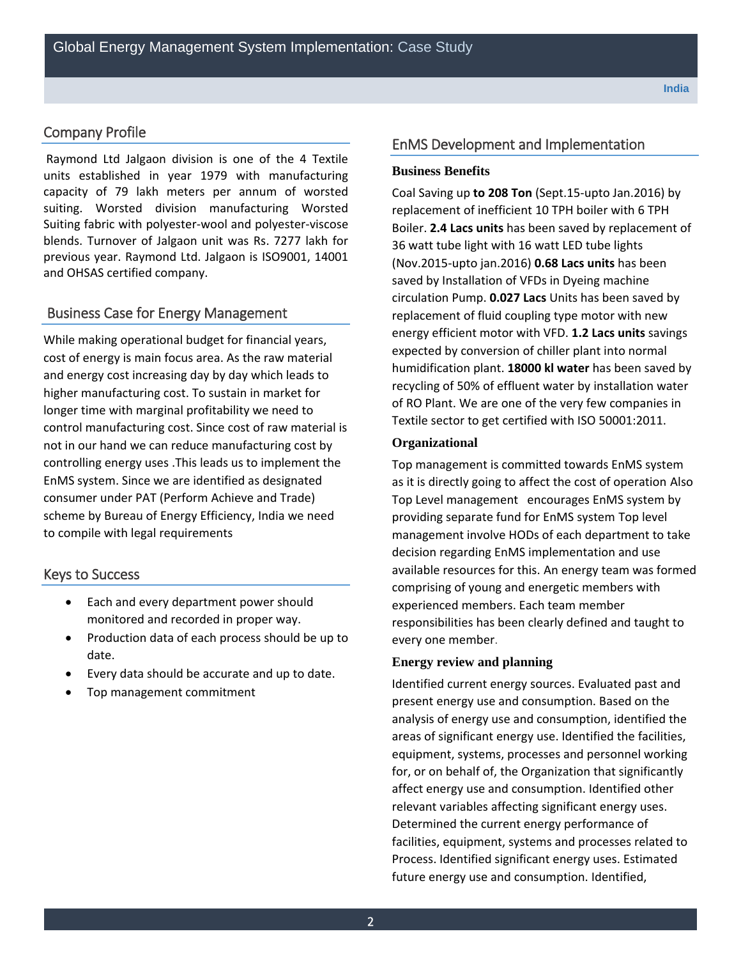## Company Profile

 blends. Turnover of Jalgaon unit was Rs. 7277 lakh for Raymond Ltd Jalgaon division is one of the 4 Textile units established in year 1979 with manufacturing capacity of 79 lakh meters per annum of worsted suiting. Worsted division manufacturing Worsted Suiting fabric with polyester-wool and polyester-viscose previous year. Raymond Ltd. Jalgaon is ISO9001, 14001 and OHSAS certified company.

## Business Case for Energy Management

 and energy cost increasing day by day which leads to longer time with marginal profitability we need to While making operational budget for financial years, cost of energy is main focus area. As the raw material higher manufacturing cost. To sustain in market for control manufacturing cost. Since cost of raw material is not in our hand we can reduce manufacturing cost by controlling energy uses .This leads us to implement the EnMS system. Since we are identified as designated consumer under PAT (Perform Achieve and Trade) scheme by Bureau of Energy Efficiency, India we need to compile with legal requirements

## Keys to Success

- Each and every department power should monitored and recorded in proper way.
- Production data of each process should be up to date.
- Every data should be accurate and up to date.
- Top management commitment

## EnMS Development and Implementation

#### **Business Benefits**

 replacement of inefficient 10 TPH boiler with 6 TPH (Nov.2015-upto jan.2016) **0.68 Lacs units** has been Coal Saving up **to 208 Ton** (Sept.15-upto Jan.2016) by Boiler. **2.4 Lacs units** has been saved by replacement of 36 watt tube light with 16 watt LED tube lights saved by Installation of VFDs in Dyeing machine circulation Pump. **0.027 Lacs** Units has been saved by replacement of fluid coupling type motor with new energy efficient motor with VFD. **1.2 Lacs units** savings expected by conversion of chiller plant into normal humidification plant. **18000 kl water** has been saved by recycling of 50% of effluent water by installation water of RO Plant. We are one of the very few companies in Textile sector to get certified with ISO 50001:2011.

#### **Organizational**

Top management is committed towards EnMS system as it is directly going to affect the cost of operation Also Top Level management encourages EnMS system by providing separate fund for EnMS system Top level management involve HODs of each department to take decision regarding EnMS implementation and use available resources for this. An energy team was formed comprising of young and energetic members with experienced members. Each team member responsibilities has been clearly defined and taught to every one member.

#### **Energy review and planning**

 facilities, equipment, systems and processes related to Identified current energy sources. Evaluated past and present energy use and consumption. Based on the analysis of energy use and consumption, identified the areas of significant energy use. Identified the facilities, equipment, systems, processes and personnel working for, or on behalf of, the Organization that significantly affect energy use and consumption. Identified other relevant variables affecting significant energy uses. Determined the current energy performance of Process. Identified significant energy uses. Estimated future energy use and consumption. Identified,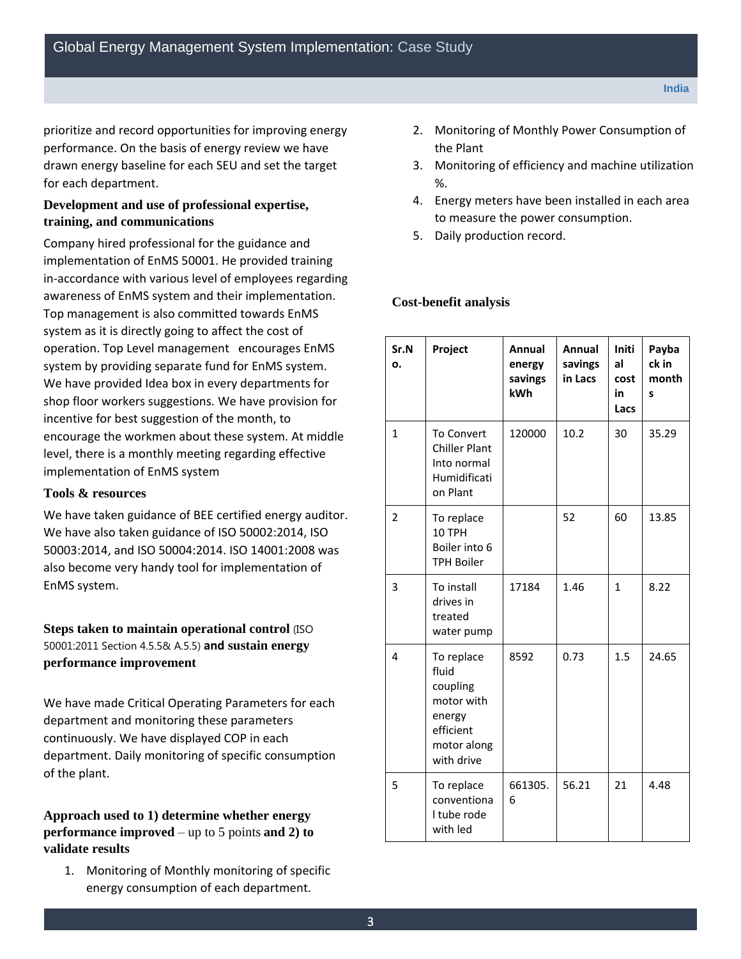prioritize and record opportunities for improving energy performance. On the basis of energy review we have drawn energy baseline for each SEU and set the target for each department.

## **Development and use of professional expertise, training, and communications**

Company hired professional for the guidance and implementation of EnMS 50001. He provided training in-accordance with various level of employees regarding awareness of EnMS system and their implementation. Top management is also committed towards EnMS system as it is directly going to affect the cost of operation. Top Level management encourages EnMS system by providing separate fund for EnMS system. We have provided Idea box in every departments for shop floor workers suggestions. We have provision for incentive for best suggestion of the month, to encourage the workmen about these system. At middle level, there is a monthly meeting regarding effective implementation of EnMS system

#### **Tools & resources**

We have taken guidance of BEE certified energy auditor. We have also taken guidance of ISO 50002:2014, ISO 50003:2014, and ISO 50004:2014. ISO 14001:2008 was also become very handy tool for implementation of EnMS system.

 **performance improvement Steps taken to maintain operational control** (ISO 50001:2011 Section 4.5.5& A.5.5) **and sustain energy** 

We have made Critical Operating Parameters for each department and monitoring these parameters continuously. We have displayed COP in each department. Daily monitoring of specific consumption of the plant.

 **performance improved** – up to 5 points **and 2) to Approach used to 1) determine whether energy validate results** 

1. Monitoring of Monthly monitoring of specific energy consumption of each department.

- the Plant 2. Monitoring of Monthly Power Consumption of
- 3. Monitoring of efficiency and machine utilization %.
- 4. Energy meters have been installed in each area to measure the power consumption.
- 5. Daily production record.

### **Cost-benefit analysis**

| Sr.N<br>ο.     | Project                                                                                           | Annual<br>energy<br>savings<br>kWh | Annual<br>savings<br>in Lacs | Initi<br>al<br>cost<br>in<br>Lacs | Payba<br>ck in<br>month<br>S |
|----------------|---------------------------------------------------------------------------------------------------|------------------------------------|------------------------------|-----------------------------------|------------------------------|
| $\mathbf{1}$   | <b>To Convert</b><br><b>Chiller Plant</b><br>Into normal<br>Humidificati<br>on Plant              | 120000                             | 10.2                         | 30                                | 35.29                        |
| $\overline{2}$ | To replace<br>10 TPH<br>Boiler into 6<br><b>TPH Boiler</b>                                        |                                    | 52                           | 60                                | 13.85                        |
| 3              | To install<br>drives in<br>treated<br>water pump                                                  | 17184                              | 1.46                         | 1                                 | 8.22                         |
| 4              | To replace<br>fluid<br>coupling<br>motor with<br>energy<br>efficient<br>motor along<br>with drive | 8592                               | 0.73                         | 1.5                               | 24.65                        |
| 5              | To replace<br>conventiona<br>I tube rode<br>with led                                              | 661305.<br>6                       | 56.21                        | 21                                | 4.48                         |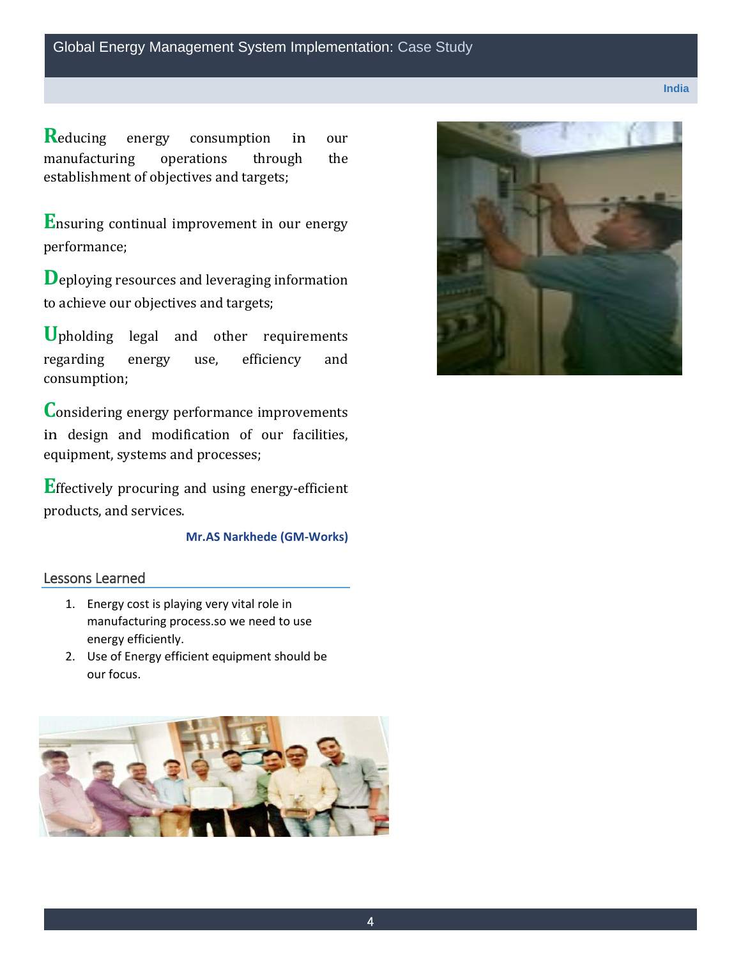**R**educing energy consumption in our operations establishment of objectives and targets; manufacturing operations through the

 **E**nsuring continual improvement in our energy performance;

 **D**eploying resources and leveraging information to achieve our objectives and targets;

efficiency **U**pholding legal and other requirements regarding energy use, efficiency and consumption;

**C**onsidering energy performance improvements in design and modification of our facilities, equipment, systems and processes;

 **E**ffectively procuring and using energy-efficient products, and services.

## **Mr.AS Narkhede (GM-Works)**

## Lessons Learned

- 1. Energy cost is playing very vital role in manufacturing process.so we need to use energy efficiently.
- 2. Use of Energy efficient equipment should be our focus.